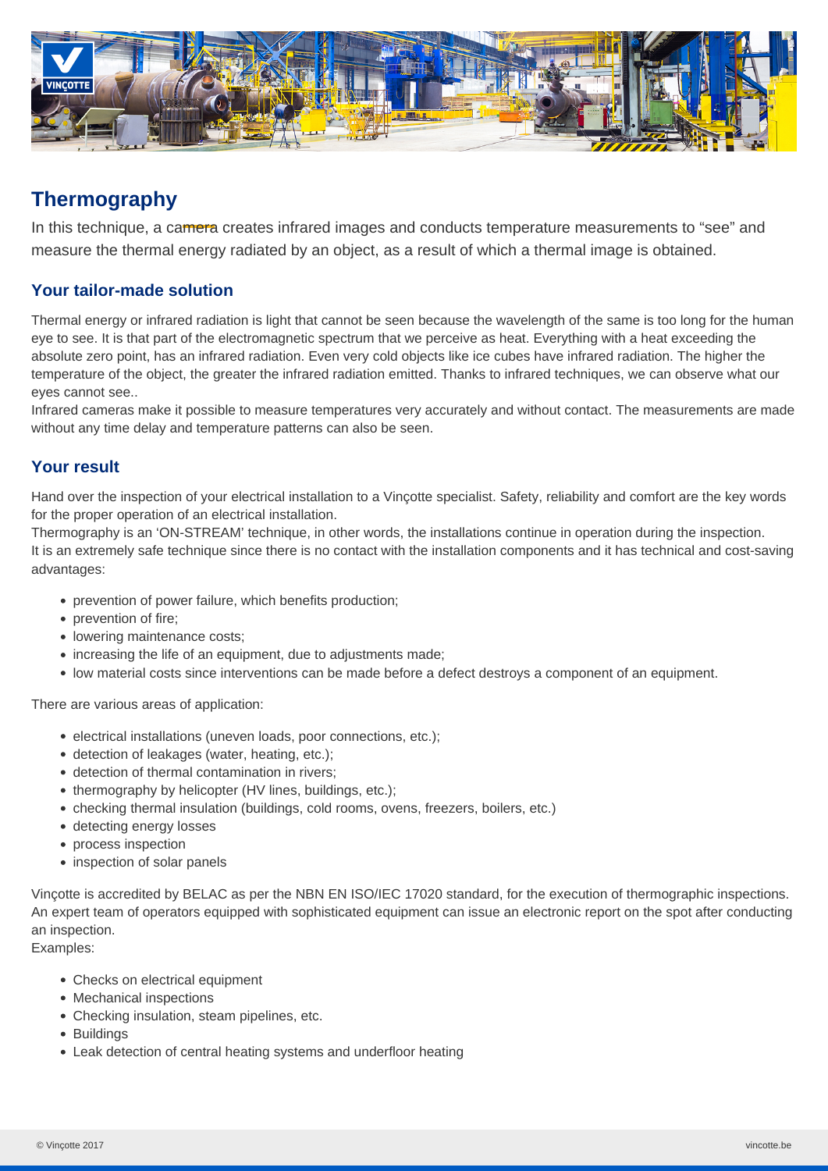

# **Thermography**

In this technique, a camera creates infrared images and conducts temperature measurements to "see" and measure the thermal energy radiated by an object, as a result of which a thermal image is obtained.

### **Your tailor-made solution**

Thermal energy or infrared radiation is light that cannot be seen because the wavelength of the same is too long for the human eye to see. It is that part of the electromagnetic spectrum that we perceive as heat. Everything with a heat exceeding the absolute zero point, has an infrared radiation. Even very cold objects like ice cubes have infrared radiation. The higher the temperature of the object, the greater the infrared radiation emitted. Thanks to infrared techniques, we can observe what our eyes cannot see..

Infrared cameras make it possible to measure temperatures very accurately and without contact. The measurements are made without any time delay and temperature patterns can also be seen.

#### **Your result**

Hand over the inspection of your electrical installation to a Vinçotte specialist. Safety, reliability and comfort are the key words for the proper operation of an electrical installation.

Thermography is an 'ON-STREAM' technique, in other words, the installations continue in operation during the inspection. It is an extremely safe technique since there is no contact with the installation components and it has technical and cost-saving advantages:

- prevention of power failure, which benefits production;
- prevention of fire;
- lowering maintenance costs:
- increasing the life of an equipment, due to adjustments made;
- low material costs since interventions can be made before a defect destroys a component of an equipment.

There are various areas of application:

- electrical installations (uneven loads, poor connections, etc.);
- detection of leakages (water, heating, etc.);
- detection of thermal contamination in rivers;
- thermography by helicopter (HV lines, buildings, etc.);
- checking thermal insulation (buildings, cold rooms, ovens, freezers, boilers, etc.)
- detecting energy losses
- process inspection
- inspection of solar panels

Vinçotte is accredited by BELAC as per the NBN EN ISO/IEC 17020 standard, for the execution of thermographic inspections. An expert team of operators equipped with sophisticated equipment can issue an electronic report on the spot after conducting an inspection.

Examples:

- Checks on electrical equipment
- Mechanical inspections
- Checking insulation, steam pipelines, etc.
- Buildings
- Leak detection of central heating systems and underfloor heating